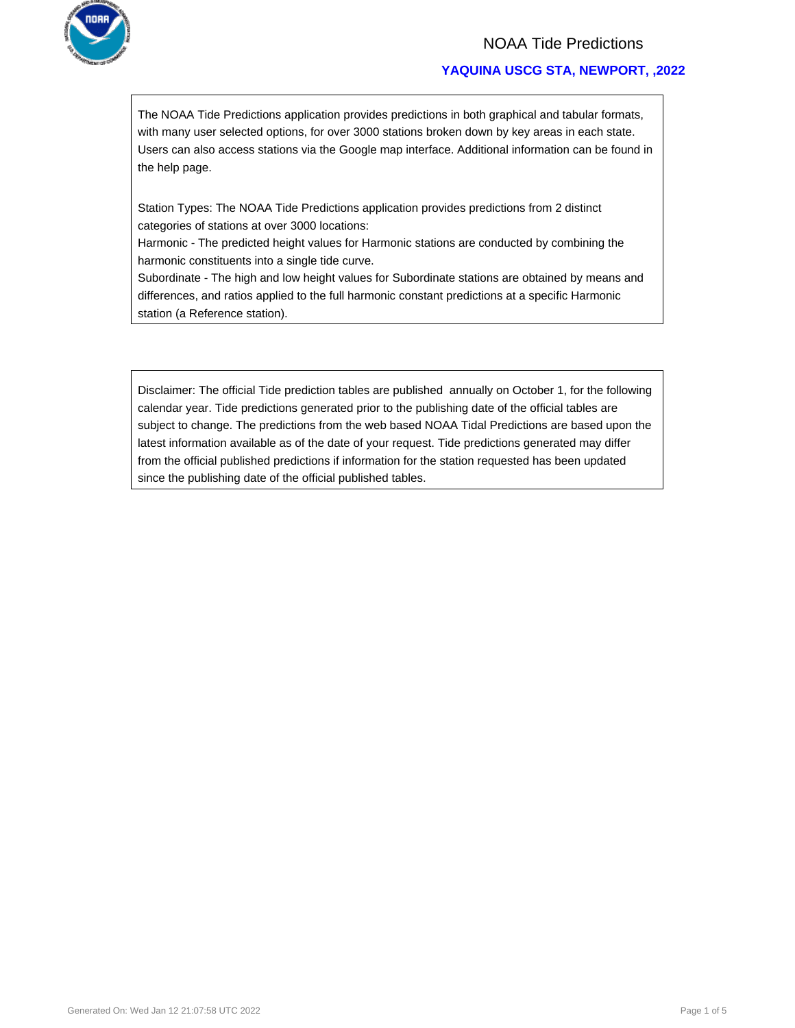

# NOAA Tide Predictions

# **YAQUINA USCG STA, NEWPORT, ,2022**

The NOAA Tide Predictions application provides predictions in both graphical and tabular formats, with many user selected options, for over 3000 stations broken down by key areas in each state. Users can also access stations via the Google map interface. Additional information can be found in the help page.

Station Types: The NOAA Tide Predictions application provides predictions from 2 distinct categories of stations at over 3000 locations:

Harmonic - The predicted height values for Harmonic stations are conducted by combining the harmonic constituents into a single tide curve.

Subordinate - The high and low height values for Subordinate stations are obtained by means and differences, and ratios applied to the full harmonic constant predictions at a specific Harmonic station (a Reference station).

Disclaimer: The official Tide prediction tables are published annually on October 1, for the following calendar year. Tide predictions generated prior to the publishing date of the official tables are subject to change. The predictions from the web based NOAA Tidal Predictions are based upon the latest information available as of the date of your request. Tide predictions generated may differ from the official published predictions if information for the station requested has been updated since the publishing date of the official published tables.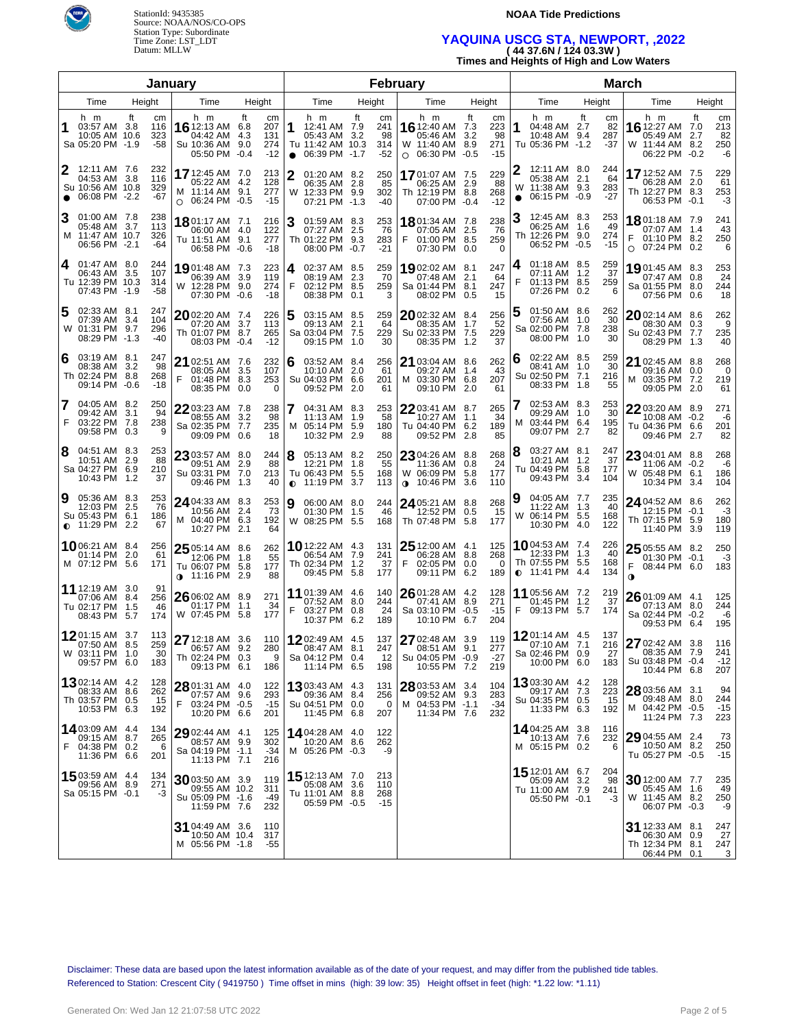

StationId: 9435385 Source: NOAA/NOS/CO-OPS Station Type: Subordinate Time Zone: LST\_LDT Datum: MLLW

#### **NOAA Tide Predictions**

# **YAQUINA USCG STA, NEWPORT, ,2022 ( 44 37.6N / 124 03.3W )**

**Times and Heights of High and Low Waters**

|                                                                            |                                             | January                                                                    |                                                                | February       |                                                                           |    |                                 |                                                                             |                      |                                 |                                                                                      |                                       |                                                                           |           |                              |
|----------------------------------------------------------------------------|---------------------------------------------|----------------------------------------------------------------------------|----------------------------------------------------------------|----------------|---------------------------------------------------------------------------|----|---------------------------------|-----------------------------------------------------------------------------|----------------------|---------------------------------|--------------------------------------------------------------------------------------|---------------------------------------|---------------------------------------------------------------------------|-----------|------------------------------|
| Time                                                                       | Height                                      | Time                                                                       | Height                                                         |                | Time                                                                      |    | Height                          | Time                                                                        | Height               |                                 | Time                                                                                 | Height                                | Time                                                                      | Height    |                              |
| h m<br>1<br>03:57 AM 3.8<br>10:05 AM 10.6<br>Sa 05:20 PM -1.9              | ft<br>cm<br>116<br>323<br>-58               | h m<br>16 12:13 AM<br>04:42 AM<br>Su 10:36 AM 9.0<br>05:50 PM              | ft<br>cm<br>207<br>6.8<br>4.3<br>131<br>274<br>$-12$<br>$-0.4$ | 1<br>$\bullet$ | h m<br>12:41 AM 7.9<br>05:43 AM 3.2<br>Tu 11:42 AM 10.3<br>06:39 PM -1.7  | ft | cm<br>241<br>98<br>314<br>$-52$ | h m<br>16 12:40 AM 7.3<br>05:46 AM<br>W 11:40 AM 8.9<br>06:30 PM<br>$\circ$ | ft<br>3.2<br>$-0.5$  | cm<br>223<br>98<br>271<br>$-15$ | h m<br>1<br>04:48 AM 2.7<br>10:48 AM 9.4<br>Tu 05:36 PM -1.2                         | ft<br>cm<br>82<br>287<br>$-37$        | h m<br>16 12:27 AM 7.0<br>05:49 AM<br>W 11:44 AM 8.2<br>06:22 PM -0.2     | ft<br>2.7 | cm<br>213<br>82<br>250<br>-6 |
| 2<br>12:11 AM 7.6<br>04:53 AM 3.8<br>Su 10:56 AM 10.8<br>06:08 PM -2.2     | 232<br>116<br>329<br>$-67$                  | 17 12:45 AM 7.0<br>05:22 AM 4.2<br>M 11:14 AM 9.1<br>$O$ 06:24 PM -0.5     | 213<br>128<br>277<br>$-15$                                     | 2<br>W         | 01:20 AM 8.2<br>06:35 AM 2.8<br>12:33 PM 9.9<br>07:21 PM -1.3             |    | 250<br>85<br>302<br>$-40$       | 1701:07 AM 7.5<br>06:25 AM 2.9<br>Th 12:19 PM 8.8<br>07:00 PM -0.4          |                      | 229<br>88<br>268<br>$-12$       | 12:11 AM 8.0<br>2<br>05:38 AM 2.1<br>11:38 AM 9.3<br>W<br>06:15 PM -0.9<br>$\bullet$ | 244<br>64<br>283<br>$-27$             | 17 12:52 AM 7.5<br>06:28 AM 2.0<br>Th 12:27 PM 8.3<br>06:53 PM -0.1       |           | 229<br>61<br>253<br>-3       |
| 3<br>01:00 AM 7.8<br>05:48 AM 3.7<br>M 11:47 AM 10.7<br>06:56 PM -2.1      | 238<br>113<br>326<br>-64                    | <b>18</b> 01:17 AM 7.1<br>06:00 AM 4.0<br>Tu 11:51 AM 9.1<br>06:58 PM      | 216<br>122<br>277<br>$-0.6$<br>$-18$                           | 3              | 01:59 AM 8.3<br>07:27 AM 2.5<br>Th 01:22 PM 9.3<br>08:00 PM -0.7          |    | 253<br>76<br>283<br>$-21$       | 1801:34 AM 7.8<br>07:05 AM 2.5<br>F<br>01:00 PM 8.5<br>07:30 PM             | 0.0                  | 238<br>-76<br>259<br>$\Omega$   | 12:45 AM 8.3<br>3<br>06:25 AM 1.6<br>Th 12:26 PM<br>06:52 PM -0.5                    | 253<br>49<br>9.0<br>274<br>$-15$      | 1801:18 AM 7.9<br>07:07 AM 1.4<br>F<br>01:10 PM 8.2<br>$O$ 07:24 PM 0.2   |           | 241<br>43<br>250<br>6        |
| 01:47 AM 8.0<br>4<br>06:43 AM 3.5<br>Tu 12:39 PM 10.3<br>07:43 PM -1.9     | 244<br>107<br>314<br>-58                    | <b>19</b> 01:48 AM 7.3<br>06:39 AM 3.9<br>W 12:28 PM 9.0<br>07:30 PM       | 223<br>119<br>274<br>$-0.6$<br>$-18$                           | 4<br>F         | 02:37 AM 8.5<br>08:19 AM 2.3<br>02:12 PM 8.5<br>08:38 PM 0.1              |    | 259<br>70<br>259<br>3           | 1902:02 AM 8.1<br>07:48 AM<br>Sa 01:44 PM 8.1<br>08:02 PM                   | 2.1<br>0.5           | 247<br>64<br>247<br>15          | 01:18 AM 8.5<br>4<br>07:11 AM 1.2<br>01:13 PM 8.5<br>07:26 PM 0.2                    | 259<br>37<br>259<br>6                 | <b>19</b> 01:45 AM 8.3<br>07:47 AM 0.8<br>Sa 01:55 PM 8.0<br>07:56 PM 0.6 |           | 253<br>24<br>244<br>18       |
| 02:33 AM 8.1<br>5<br>07:39 AM<br>W 01:31 PM 9.7<br>08:29 PM -1.3           | 247<br>3.4<br>104<br>296<br>$-40$           | <b>20</b> 02:20 AM 7.4<br>07:20 AM 3.7<br>Th 01:07 PM 8.7<br>08:03 PM -0.4 | 226<br>113<br>265<br>$-12$                                     |                | 03:15 AM 8.5<br>09:13 AM 2.1<br>Sa 03:04 PM 7.5<br>09:15 PM 1.0           |    | 259<br>64<br>229<br>30          | 2002:32 AM 8.4<br>08:35 AM 1.7<br>Su 02:33 PM 7.5<br>08:35 PM 1.2           |                      | 256<br>52<br>229<br>37          | 01:50 AM 8.6<br>5<br>07:56 AM 1.0<br>Sa 02:00 PM 7.8<br>08:00 PM 1.0                 | 262<br>30<br>238<br>30                | 2002:14 AM 8.6<br>08:30 AM 0.3<br>Su 02:43 PM 7.7<br>08:29 PM 1.3         |           | 262<br>9<br>235<br>40        |
| 03:19 AM 8.1<br>6<br>08:38 AM 3.2<br>Th 02:24 PM 8.8<br>09:14 PM -0.6      | 247<br>98<br>268<br>$-18$                   | 21 02:51 AM 7.6<br>08:05 AM 3.5<br>F<br>01:48 PM 8.3<br>08:35 PM           | 232<br>107<br>253<br>$\Omega$<br>0.0                           | 6              | 03:52 AM 8.4<br>10:10 AM 2.0<br>Su 04:03 PM 6.6<br>09:52 PM 2.0           |    | 256<br>61<br>201<br>61          | 21 03:04 AM 8.6<br>09:27 AM<br>M 03:30 PM<br>09:10 PM                       | -1.4<br>6.8<br>2.0   | 262<br>43<br>207<br>61          | 02:22 AM 8.5<br>6<br>08:41 AM 1.0<br>Su 02:50 PM<br>08:33 PM 1.8                     | 259<br>30<br>7.1<br>216<br>55         | 21 02:45 AM 8.8<br>09:16 AM 0.0<br>M 03:35 PM 7.2<br>09:05 PM 2.0         |           | 268<br>- 0<br>219<br>61      |
| 7<br>04:05 AM 8.2<br>09:42 AM<br>F<br>03:22 PM 7.8<br>09:58 PM 0.3         | 250<br>94<br>3.1<br>238<br>9                | 22 03:23 AM 7.8<br>08:55 AM<br>Sa 02:35 PM 7.7<br>09:09 PM 0.6             | 238<br>3.2<br>98<br>235<br>18                                  | М              | 04:31 AM 8.3<br>11:13 AM 1.9<br>05:14 PM 5.9<br>10:32 PM 2.9              |    | 253<br>58<br>180<br>88          | $2203:41$ AM 8.7<br>10:27 AM<br>Tu 04:40 PM<br>09:52 PM                     | $-1.1$<br>6.2<br>2.8 | 265<br>34<br>189<br>85          | 02:53 AM 8.3<br>7<br>09:29 AM 1.0<br>03:44 PM 6.4<br>м<br>09:07 PM                   | 253<br>30<br>195<br>2.7<br>82         | 22 03:20 AM 8.9<br>10:08 AM -0.2<br>Tu 04:36 PM 6.6<br>09:46 PM 2.7       |           | 271<br>-6<br>201<br>82       |
| 04:51 AM 8.3<br>8<br>10:51 AM 2.9<br>Sa 04:27 PM 6.9<br>10:43 PM 1.2       | 253<br>88<br>210<br>37                      | 23 03:57 AM 8.0<br>09:51 AM 2.9<br>Su 03:31 PM 7.0<br>09:46 PM 1.3         | 244<br>88<br>213<br>40                                         | 8<br>$\bullet$ | 05:13 AM 8.2<br>12:21 PM 1.8<br>Tu 06:43 PM 5.5<br>11:19 PM 3.7           |    | 250<br>55<br>168<br>113         | 23 04:26 AM 8.8<br>11:36 AM<br>W 06:09 PM<br>$0.10:46 \text{ PM}$           | 0.8<br>5.8<br>3.6    | 268<br>24<br>177<br>110         | 03:27 AM 8.1<br>8<br>10:21 AM 1.2<br>Tu 04:49 PM<br>09:43 PM                         | 247<br>37<br>5.8<br>177<br>3.4<br>104 | 23 04:01 AM 8.8<br>11:06 AM -0.2<br>W 05:48 PM 6.1<br>10:34 PM 3.4        |           | 268<br>-6<br>186<br>104      |
| 05:36 AM 8.3<br>9<br>12:03 PM<br>Su 05:43 PM 6.1<br>$\bullet$ 11:29 PM 2.2 | 253<br>-76<br>-2.5<br>186<br>67             | <b>24</b> 04:33 AM 8.3<br>10:56 AM 2.4<br>M 04:40 PM 6.3<br>10:27 PM       | 253<br>73<br>192<br>-2.1<br>64                                 | 9              | 06:00 AM 8.0<br>01:30 PM 1.5<br>W 08:25 PM 5.5                            |    | 244<br>46<br>168                | 24 05:21 AM 8.8<br>12:52 PM<br>Th 07:48 PM                                  | 0.5<br>5.8           | 268<br>15<br>177                | 04:05 AM 7.7<br>11:22 AM 1.3<br>06:14 PM 5.5<br>W<br>10:30 PM 4.0                    | 235<br>40<br>168<br>122               | 24 04:52 AM 8.6<br>12:15 PM -0.1<br>Th 07:15 PM 5.9<br>11:40 PM 3.9       |           | 262<br>$-3$<br>180<br>119    |
| 1006:21 AM 8.4<br>01:14 PM<br>M 07:12 PM 5.6                               | 256<br>-2.0<br>61<br>171                    | 25 05:14 AM 8.6<br>12:06 PM 1.8<br>Tu 06:07 PM<br><b>11:16 PM 2.9</b>      | 262<br>55<br>177<br>5.8<br>88                                  |                | <b>10</b> 12:22 AM 4.3<br>06:54 AM 7.9<br>Th 02:34 PM 1.2<br>09:45 PM 5.8 |    | 131<br>241<br>37<br>177         | 25 12:00 AM 4.1<br>06:28 AM 8.8<br>F<br>02:05 PM<br>09:11 PM 6.2            | 0.0                  | 125<br>268<br>0<br>189          | 1004:53 AM 7.4<br>12:33 PM 1.3<br>Th 07:55 PM 5.5<br>$\bullet$ 11:41 PM 4.4          | 226<br>40<br>168<br>134               | $2505:55$ AM 8.2<br>01:30 PM -0.1<br>F<br>08:44 PM 6.0<br>$\mathbf 0$     |           | 250<br>-3<br>183             |
| <b>11</b> 12:19 AM 3.0<br>07:06 AM<br>Tu 02:17 PM<br>08:43 PM              | 91<br>8.4<br>256<br>1.5<br>46<br>5.7<br>174 | 26 06:02 AM 8.9<br>01:17 PM 1.1<br>W 07:45 PM 5.8                          | 271<br>34<br>177                                               | F              | 11 01:39 AM 4.6<br>07:52 AM 8.0<br>03:27 PM 0.8<br>10:37 PM 6.2           |    | 140<br>244<br>24<br>189         | 26 01:28 AM 4.2<br>07:41 AM<br>Sa 03:10 PM -0.5<br>10:10 PM 6.7             | 8.9                  | 128<br>271<br>-15<br>204        | 11 05:56 AM 7.2<br>01:45 PM 1.2<br>F<br>09:13 PM 5.7                                 | 219<br>37<br>174                      | 2601:09 AM 4.1<br>07:13 AM 8.0<br>Sa 02:44 PM -0.2<br>09:53 PM 6.4        |           | 125<br>244<br>-6<br>195      |
| <b>12</b> 01:15 AM 3.7<br>07:50 AM 8.5<br>W 03:11 PM 1.0<br>09:57 PM 6.0   | 113<br>259<br>- 30<br>183                   | 27 12:18 AM 3.6<br>06:57 AM 9.2<br>Th 02:24 PM 0.3<br>09:13 PM 6.1         | 110<br>280<br>9<br>186                                         |                | 1202:49 AM 4.5<br>08:47 AM 8.1<br>Sa 04:12 PM 0.4<br>11:14 PM 6.5         |    | 137<br>247<br>12<br>198         | 27 02:48 AM 3.9<br>08:51 AM 9.1<br>Su 04:05 PM -0.9<br>10:55 PM 7.2         |                      | 119<br>277<br>-27<br>219        | 1201:14 AM 4.5<br>07:10 AM 7.1<br>Sa 02:46 PM 0.9<br>10:00 PM 6.0                    | 137<br>216<br>27<br>183               | 27 02:42 AM 3.8<br>08:35 AM 7.9<br>Su 03:48 PM -0.4<br>10:44 PM 6.8       |           | 116<br>241<br>$-12$<br>207   |
| <b>13</b> 02:14 AM 4.2<br>08:33 AM 8.6<br>Th 03:57 PM 0.5<br>10:53 PM 6.3  | 128<br>262<br>15<br>192                     | 28 01:31 AM 4.0<br>07:57 AM 9.6<br>F<br>03:24 PM -0.5<br>10:20 PM 6.6      | 122<br>293<br>$-15$<br>201                                     |                | 1303:43 AM 4.3<br>09:36 AM 8.4<br>Su 04:51 PM 0.0<br>11:45 PM 6.8         |    | 131<br>256<br>$\Omega$<br>207   | 28 03:53 AM 3.4<br>09:52 AM 9.3<br>M 04:53 PM -1.1<br>11:34 PM 7.6          |                      | 104<br>283<br>-34<br>232        | 1303:30 AM 4.2<br>09:17 AM 7.3<br>Su 04:35 PM 0.5<br>11:33 PM 6.3                    | 128<br>223<br>15<br>192               | 28 03:56 AM 3.1<br>09:48 AM 8.0<br>M 04:42 PM -0.5<br>11:24 PM 7.3        |           | 94<br>244<br>$-15$<br>223    |
| 14 03:09 AM 4.4<br>09:15 AM 8.7<br>F<br>04:38 PM 0.2<br>11:36 PM 6.6       | 134<br>265<br>6<br>201                      | 29 02:44 AM 4.1<br>08:57 AM 9.9<br>Sa 04:19 PM -1.1<br>11:13 PM 7.1        | 125<br>302<br>-34<br>216                                       |                | 14 04:28 AM 4.0<br>10:20 AM 8.6<br>M 05:26 PM -0.3                        |    | 122<br>262<br>-9                |                                                                             |                      |                                 | <b>14</b> 04:25 AM 3.8<br>10:13 AM 7.6<br>M 05:15 PM 0.2                             | 116<br>232<br>6                       | 29 04:55 AM 2.4<br>10:50 AM 8.2<br>Tu 05:27 PM -0.5                       |           | 73<br>250<br>$-15$           |
| 15 03:59 AM 4.4<br>09:56 AM 8.9<br>Sa 05:15 PM -0.1                        | 134<br>271<br>-3                            | 30 03:50 AM 3.9<br>09:55 AM 10.2<br>Su 05:09 PM -1.6<br>11:59 PM 7.6       | 119<br>311<br>-49<br>232                                       |                | 15 12:13 AM 7.0<br>05:08 AM 3.6<br>Tu 11:01 AM 8.8<br>05:59 PM -0.5       |    | 213<br>110<br>268<br>$-15$      |                                                                             |                      |                                 | 15 12:01 AM 6.7<br>05:09 AM 3.2<br>Tu 11:00 AM 7.9<br>05:50 PM -0.1                  | 204<br>98<br>241<br>-3                | 30 12:00 AM 7.7<br>05:45 AM 1.6<br>W 11:45 AM 8.2<br>06:07 PM -0.3        |           | 235<br>49<br>250<br>-9       |
|                                                                            |                                             | 31 04:49 AM 3.6<br>10:50 AM 10.4<br>M 05:56 PM -1.8                        | 110<br>317<br>-55                                              |                |                                                                           |    |                                 |                                                                             |                      |                                 |                                                                                      |                                       | 31 12:33 AM 8.1<br>06:30 AM 0.9<br>Th 12:34 PM 8.1<br>06:44 PM 0.1        |           | 247<br>27<br>247<br>3        |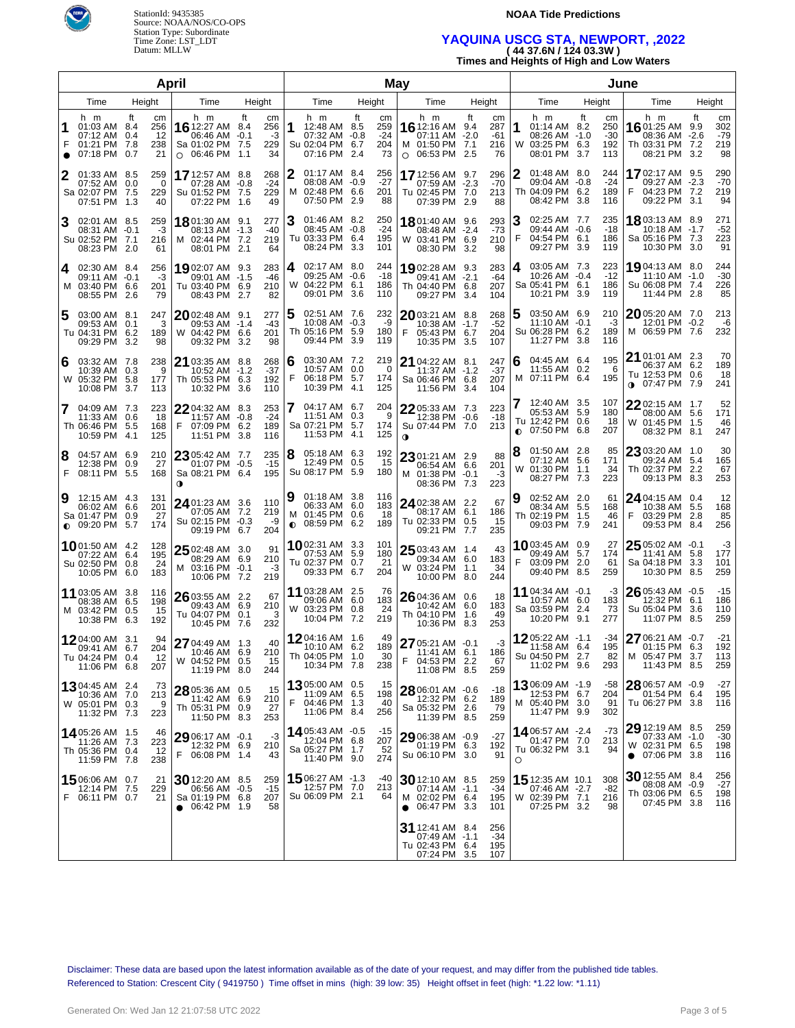



### **NOAA Tide Predictions**

### **YAQUINA USCG STA, NEWPORT, ,2022**

| (4437.6N/12403.3W)                       |  |
|------------------------------------------|--|
| Times and Heights of High and Low Waters |  |

|   |                                                                          |                                                    | April                                                                              |                                    |        |                                                                           | May    |                                 |                                                                                     |        |                               |        |                                                                           |        | June                             |                                                                                   |    |                                 |
|---|--------------------------------------------------------------------------|----------------------------------------------------|------------------------------------------------------------------------------------|------------------------------------|--------|---------------------------------------------------------------------------|--------|---------------------------------|-------------------------------------------------------------------------------------|--------|-------------------------------|--------|---------------------------------------------------------------------------|--------|----------------------------------|-----------------------------------------------------------------------------------|----|---------------------------------|
|   | Time                                                                     | Height                                             | Time                                                                               | Height                             |        | Time                                                                      | Height |                                 | Time                                                                                | Height |                               |        | Time                                                                      | Height |                                  | Time                                                                              |    | Height                          |
|   | h m<br>01:03 AM 8.4<br>07:12 AM<br>01:21 PM<br>07:18 PM 0.7              | Ħ.<br>cm<br>256<br>12<br>0.4<br>- 7.8<br>238<br>21 | h m<br>16 12:27 AM 8.4<br>06:46 AM -0.1<br>Sa 01:02 PM 7.5<br>$\circ$ 06:46 PM 1.1 | ft<br>cm<br>256<br>-3<br>229<br>34 | 1      | h m<br>12:48 AM 8.5<br>07:32 AM -0.8<br>Su 02:04 PM 6.7<br>07:16 PM 2.4   | ft     | cm<br>259<br>$-24$<br>204<br>73 | h m<br>16 12:16 AM 9.4<br>07:11 AM -2.0<br>M 01:50 PM 7.1<br>06:53 PM 2.5<br>O      | ft     | cm<br>287<br>-61<br>216<br>76 | 1<br>W | h m<br>01:14 AM 8.2<br>08:26 AM -1.0<br>03:25 PM 6.3<br>08:01 PM 3.7      | ft     | cm<br>250<br>$-30$<br>192<br>113 | h m<br><b>16</b> 01:25 AM 9.9<br>08:36 AM -2.6<br>Th 03:31 PM 7.2<br>08:21 PM 3.2 | ft | cm<br>302<br>$-79$<br>219<br>98 |
|   | 01:33 AM 8.5<br>07:52 AM<br>Sa 02:07 PM 7.5<br>07:51 PM                  | 259<br>0.0<br>0<br>229<br>- 1.3<br>40              | 17 12:57 AM 8.8<br>07:28 AM -0.8<br>Su 01:52 PM 7.5<br>07:22 PM 1.6                | 268<br>$-24$<br>229<br>49          | 2      | 01:17 AM 8.4<br>08:08 AM -0.9<br>M 02:48 PM 6.6<br>07:50 PM 2.9           |        | 256<br>$-27$<br>201<br>88       | 17 12:56 AM 9.7<br>07:59 AM -2.3<br>Tu 02:45 PM 7.0<br>07:39 PM 2.9                 |        | 296<br>$-70$<br>213<br>88     | 2      | 01:48 AM 8.0<br>09:04 AM -0.8<br>Th 04:09 PM 6.2<br>08:42 PM 3.8          |        | 244<br>$-24$<br>189<br>116       | 1702:17 AM 9.5<br>09:27 AM -2.3<br>F<br>04:23 PM 7.2<br>09:22 PM 3.1              |    | 290<br>$-70$<br>219<br>94       |
| 3 | 02:01 AM 8.5<br>08:31 AM -0.1<br>Su 02:52 PM 7.1<br>08:23 PM 2.0         | 259<br>-3<br>216<br>61                             | 1801:30 AM 9.1<br>08:13 AM -1.3<br>M 02:44 PM 7.2<br>08:01 PM 2.1                  | 277<br>-40<br>219<br>64            | 3      | 01:46 AM 8.2<br>08:45 AM -0.8<br>Tu 03:33 PM 6.4<br>08:24 PM 3.3          |        | 250<br>$-24$<br>195<br>101      | 18 01:40 AM 9.6<br>08:48 AM -2.4<br>W 03:41 PM 6.9<br>08:30 PM 3.2                  |        | 293<br>-73<br>210<br>98       | 3<br>F | 02:25 AM 7.7<br>09:44 AM -0.6<br>04:54 PM 6.1<br>09:27 PM 3.9             |        | 235<br>-18<br>186<br>119         | <b>18</b> 03:13 AM 8.9<br>10:18 AM -1.7<br>Sa 05:16 PM 7.3<br>10:30 PM 3.0        |    | 271<br>$-52$<br>223<br>91       |
| 4 | 02:30 AM 8.4<br>09:11 AM -0.1<br>M 03:40 PM 6.6<br>08:55 PM              | 256<br>-3<br>201<br>2.6<br>79                      | 19 02:07 AM 9.3<br>09:01 AM -1.5<br>Tu 03:40 PM 6.9<br>08:43 PM 2.7                | 283<br>$-46$<br>210<br>82          | 4      | 02:17 AM 8.0<br>09:25 AM -0.6<br>W 04:22 PM 6.1<br>09:01 PM 3.6           |        | 244<br>$-18$<br>186<br>110      | 1902:28 AM 9.3<br>09:41 AM -2.1<br>Th 04:40 PM 6.8<br>09:27 PM 3.4                  |        | 283<br>$-64$<br>207<br>104    | 4      | 03:05 AM 7.3<br>10:26 AM -0.4<br>Sa 05:41 PM 6.1<br>10:21 PM 3.9          |        | 223<br>$-12$<br>186<br>119       | <b>19</b> 04:13 AM 8.0<br>11:10 AM -1.0<br>Su 06:08 PM 7.4<br>11:44 PM 2.8        |    | 244<br>$-30$<br>226<br>85       |
| 5 | 03:00 AM 8.1<br>09:53 AM<br>Tu 04:31 PM 6.2<br>09:29 PM                  | 247<br>3<br>0.1<br>189<br>3.2<br>98                | 20 02:48 AM 9.1<br>09:53 AM -1.4<br>W 04:42 PM 6.6<br>09:32 PM 3.2                 | 277<br>-43<br>201<br>98            | 5      | 02:51 AM 7.6<br>10:08 AM -0.3<br>Th 05:16 PM 5.9<br>09:44 PM 3.9          |        | 232<br>-9<br>180<br>119         | 2003:21 AM 8.8<br>10:38 AM -1.7<br>05:43 PM 6.7<br>F<br>10:35 PM 3.5                |        | 268<br>$-52$<br>204<br>107    | 5      | 03:50 AM 6.9<br>11:10 AM -0.1<br>Su 06:28 PM 6.2<br>11:27 PM 3.8          |        | 210<br>-3<br>189<br>116          | 2005:20 AM 7.0<br>12:01 PM -0.2<br>M 06:59 PM 7.6                                 |    | 213<br>-6<br>232                |
| 6 | 03:32 AM 7.8<br>10:39 AM<br>W 05:32 PM<br>10:08 PM                       | 238<br>0.3<br>9<br>-5.8<br>177<br>3.7<br>113       | 21 03:35 AM 8.8<br>10:52 AM -1.2<br>Th 05:53 PM 6.3<br>10:32 PM 3.6                | 268<br>$-37$<br>192<br>110         | 6<br>F | 03:30 AM 7.2<br>10:57 AM 0.0<br>06:18 PM 5.7<br>10:39 PM 4.1              |        | 219<br>0<br>174<br>125          | <b>21</b> 04:22 AM 8.1<br>11:37 AM -1.2<br>Sa 06:46 PM 6.8<br>11:56 PM 3.4          |        | 247<br>$-37$<br>207<br>104    | 6      | 04:45 AM 6.4<br>11:55 AM 0.2<br>M 07:11 PM 6.4                            |        | 195<br>-6<br>195                 | 21 01:01 AM 2.3<br>06:37 AM 6.2<br>Tu 12:53 PM 0.6<br>$0$ 07:47 PM 7.9            |    | 70<br>189<br>18<br>241          |
| 7 | 04:09 AM 7.3<br>11:33 AM<br>Th 06:46 PM 5.5<br>10:59 PM 4.1              | 223<br>0.6<br>18<br>168<br>125                     | $22$ 04:32 AM 8.3<br>11:57 AM -0.8<br>F<br>07:09 PM 6.2<br>11:51 PM 3.8            | 253<br>$-24$<br>189<br>116         |        | 04:17 AM 6.7<br>11:51 AM 0.3<br>Sa 07:21 PM 5.7<br>11:53 PM 4.1           |        | 204<br>9<br>174<br>125          | 22 05:33 AM 7.3<br>12:38 PM -0.6<br>Su 07:44 PM 7.0<br>0                            |        | 223<br>-18<br>213             |        | 12:40 AM 3.5<br>05:53 AM 5.9<br>Tu 12:42 PM 0.6<br>$\bullet$ 07:50 PM 6.8 |        | 107<br>180<br>18<br>207          | $2202:15$ AM $1.7$<br>08:00 AM 5.6<br>W 01:45 PM 1.5<br>08:32 PM 8.1              |    | 52<br>171<br>46<br>247          |
| 8 | 04:57 AM 6.9<br>12:38 PM<br>F 08:11 PM 5.5                               | 210<br>0.9<br>27<br>168                            | 23 05:42 AM 7.7<br>01:07 PM -0.5<br>Sa 08:21 PM 6.4<br>0                           | 235<br>$-15$<br>195                | 8      | 05:18 AM 6.3<br>12:49 PM 0.5<br>Su 08:17 PM 5.9                           |        | 192<br>15<br>180                | $2301:21$ AM 2.9<br>06:54 AM 6.6<br>M 01:38 PM -0.1<br>08:36 PM 7.3                 |        | 88<br>201<br>-3<br>223        | 8<br>W | $01:50$ AM $2.8$<br>07:12 AM 5.6<br>01:30 PM 1.1<br>08:27 PM 7.3          |        | 85<br>171<br>34<br>223           | 23 03:20 AM 1.0<br>09:24 AM 5.4<br>Th 02:37 PM 2.2<br>09:13 PM 8.3                |    | 30<br>165<br>67<br>253          |
| 9 | 12:15 AM 4.3<br>06:02 AM<br>Sa 01:47 PM<br>$\bullet$ 09:20 PM            | 131<br>201<br>6.6<br>27<br>0.9<br>5.7<br>174       | 24 01:23 AM 3.6<br>07:05 AM 7.2<br>Su 02:15 PM -0.3<br>09:19 PM 6.7                | 110<br>219<br>-9<br>204            | 9<br>0 | 01:18 AM 3.8<br>06:33 AM 6.0<br>M 01:45 PM 0.6<br>08:59 PM 6.2            |        | 116<br>183<br>18<br>189         | 24 02:38 AM 2.2<br>08:17 AM 6.1<br>Tu 02:33 PM 0.5<br>09:21 PM 7.7                  |        | 67<br>186<br>15<br>235        |        | 02:52 AM 2.0<br>08:34 AM 5.5<br>Th 02:19 PM 1.5<br>09:03 PM 7.9           |        | 61<br>168<br>46<br>241           | 24 04:15 AM 0.4<br>10:38 AM 5.5<br>F<br>03:29 PM 2.8<br>09:53 PM 8.4              |    | 12<br>168<br>85<br>256          |
|   | 1001:50 AM 4.2<br>07:22 AM 6.4<br>Su 02:50 PM<br>10:05 PM                | 128<br>195<br>24<br>0.8<br>6.0<br>183              | $2502:48$ AM 3.0<br>08:29 AM 6.9<br>M 03:16 PM -0.1<br>10:06 PM 7.2                | 91<br>210<br>-3<br>219             |        | <b>10</b> 02:31 AM 3.3<br>07:53 AM 5.9<br>Tu 02:37 PM 0.7<br>09:33 PM 6.7 |        | 101<br>180<br>21<br>204         | 25 03:43 AM 1.4<br>09:34 AM 6.0<br>W 03:24 PM 1.1<br>10:00 PM 8.0                   |        | 43<br>183<br>34<br>244        | F      | <b>10</b> 03:45 AM 0.9<br>09:49 AM 5.7<br>03:09 PM 2.0<br>09:40 PM 8.5    |        | 27<br>174<br>61<br>259           | $2505:02$ AM $-0.1$<br>11:41 AM 5.8<br>Sa 04:18 PM 3.3<br>10:30 PM 8.5            |    | -3<br>177<br>101<br>259         |
|   | 11 03:05 AM 3.8<br>08:38 AM<br>M 03:42 PM<br>10:38 PM                    | 116<br>6.5<br>198<br>0.5<br>15<br>6.3<br>192       | 26 03:55 AM 2.2<br>09:43 AM 6.9<br>Tu 04:07 PM 0.1<br>10:45 PM 7.6                 | 67<br>210<br>3<br>232              |        | 11 03:28 AM 2.5<br>09:06 AM 6.0<br>W 03:23 PM 0.8<br>10:04 PM 7.2         |        | -76<br>183<br>24<br>219         | 26 04:36 AM 0.6<br>10:42 AM 6.0<br>Th 04:10 PM<br>10:36 PM 8.3                      | 1.6    | 18<br>183<br>49<br>253        |        | 11 04:34 AM -0.1<br>10:57 AM 6.0<br>Sa 03:59 PM 2.4<br>10:20 PM 9.1       |        | -3<br>183<br>73<br>277           | 26 05:43 AM -0.5<br>12:32 PM 6.1<br>Su 05:04 PM 3.6<br>11:07 PM 8.5               |    | $-15$<br>186<br>110<br>259      |
|   | 1204:00 AM 3.1<br>09:41 AM<br>Tu 04:24 PM 0.4<br>11:06 PM 6.8            | 94<br>204<br>6.7<br>12<br>207                      | 27 04:49 AM 1.3<br>10:46 AM 6.9<br>W 04:52 PM 0.5<br>11:19 PM 8.0                  | 40<br>210<br>15<br>244             |        | 1204:16 AM 1.6<br>10:10 AM 6.2<br>Th 04:05 PM 1.0<br>10:34 PM 7.8         |        | 49<br>189<br>30<br>238          | 27 05:21 AM -0.1<br>11:41 AM 6.1<br>04:53 PM 2.2<br>F<br>11:08 PM 8.5               |        | -3<br>186<br>67<br>259        |        | 1205:22 AM -1.1<br>11:58 AM 6.4<br>Su 04:50 PM 2.7<br>11:02 PM 9.6        |        | -34<br>195<br>82<br>293          | 27 06:21 AM -0.7<br>01:15 PM 6.3<br>M 05:47 PM 3.7<br>11:43 PM 8.5                |    | $-21$<br>192<br>113<br>259      |
|   | <b>13</b> 04:45 AM 2.4<br>10:36 AM 7.0<br>W 05:01 PM 0.3<br>11:32 PM 7.3 | 73<br>213<br>9<br>223                              | 28 05:36 AM 0.5<br>11:42 AM 6.9<br>Th 05:31 PM 0.9<br>11:50 PM 8.3                 | 15<br>210<br>27<br>253             | F      | <b>13</b> 05:00 AM 0.5<br>11:09 AM 6.5<br>04:46 PM 1.3<br>11:06 PM 8.4    |        | 15<br>198<br>40<br>256          | 28 06:01 AM -0.6<br>12:32 PM 6.2<br>Sa 05:32 PM 2.6<br>11:39 PM 8.5                 |        | -18<br>189<br>-79<br>259      |        | 1306:09 AM -1.9<br>12:53 PM 6.7<br>M 05:40 PM 3.0<br>11:47 PM 9.9         |        | -58<br>204<br>91<br>302          | 28 06:57 AM -0.9<br>01:54 PM 6.4<br>Tu 06:27 PM 3.8                               |    | -27<br>195<br>116               |
|   | 14 05:26 AM 1.5<br>11:26 AM 7.3<br>Th 05:36 PM 0.4<br>11:59 PM 7.8       | 46<br>223<br>12<br>238                             | 29 06:17 AM -0.1<br>12:32 PM 6.9<br>F<br>06:08 PM 1.4                              | -3<br>210<br>43                    |        | 14 05:43 AM -0.5<br>12:04 PM 6.8<br>Sa 05:27 PM 1.7<br>11:40 PM 9.0       |        | $-15$<br>207<br>52<br>274       | 29 06:38 AM -0.9<br>01:19 PM 6.3<br>Su 06:10 PM 3.0                                 |        | $-27$<br>192<br>91            | O      | 1406:57 AM -2.4<br>01:47 PM 7.0<br>Tu 06:32 PM 3.1                        |        | $-73$<br>213<br>94               | 29 12:19 AM 8.5<br>07:33 AM -1.0<br>W 02:31 PM 6.5<br>$\bullet$ 07:06 PM 3.8      |    | 259<br>$-30$<br>198<br>116      |
|   | 1506:06 AM 0.7<br>12:14 PM 7.5<br>F 06:11 PM 0.7                         | 21<br>229<br>21                                    | $30$ 12:20 AM 8.5<br>06:56 AM -0.5<br>Sa 01:19 PM 6.8<br>$\bullet$ 06:42 PM 1.9    | 259<br>$-15$<br>207<br>58          |        | 1506:27 AM -1.3<br>12:57 PM 7.0<br>Su 06:09 PM 2.1                        |        | -40<br>213<br>64                | 30 12:10 AM 8.5<br>$07:14$ AM $-1.1$<br>M 02:02 PM 6.4<br>06:47 PM 3.3<br>$\bullet$ |        | 259<br>-34<br>195<br>101      |        | 15 12:35 AM 10.1<br>07:46 AM -2.7<br>W 02:39 PM 7.1<br>07:25 PM 3.2       |        | 308<br>-82<br>216<br>98          | 30 12:55 AM 8.4<br>08:08 AM -0.9<br>Th 03:06 PM 6.5<br>07:45 PM 3.8               |    | 256<br>$-27$<br>198<br>116      |
|   |                                                                          |                                                    |                                                                                    |                                    |        |                                                                           |        |                                 | 31 12:41 AM 8.4<br>07:49 AM -1.1<br>Tu 02:43 PM 6.4<br>07:24 PM 3.5                 |        | 256<br>$-34$<br>195<br>107    |        |                                                                           |        |                                  |                                                                                   |    |                                 |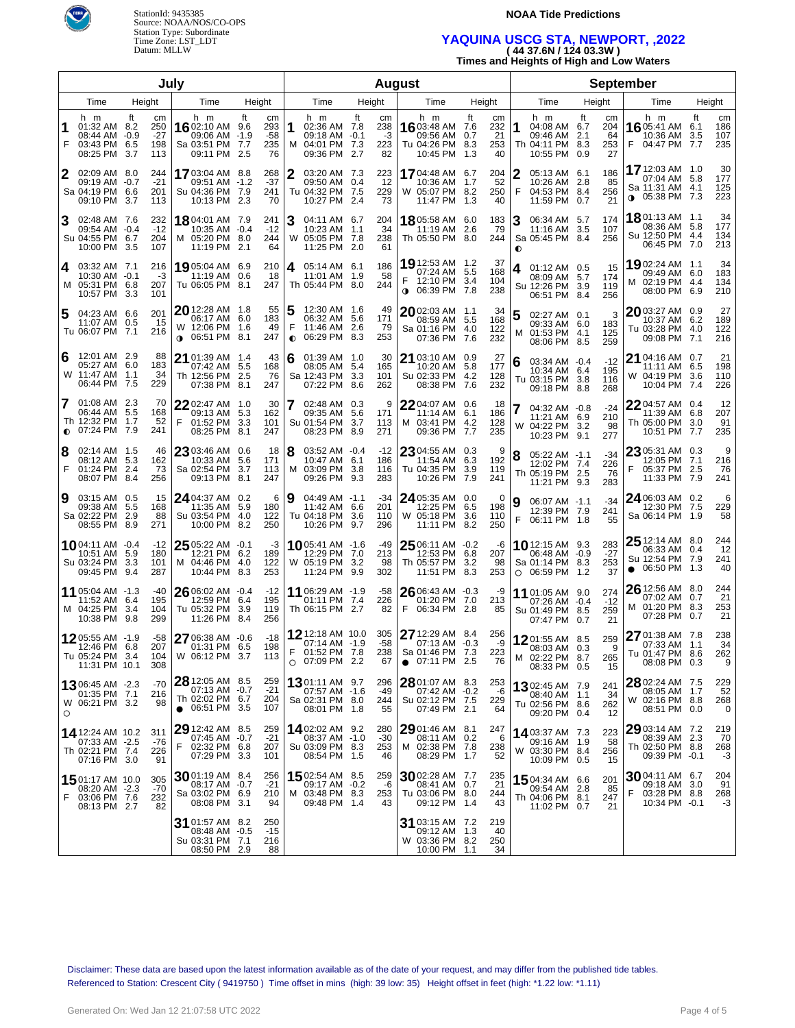

StationId: 9435385 Source: NOAA/NOS/CO-OPS Station Type: Subordinate Time Zone: LST\_LDT Datum: MLLW

#### **NOAA Tide Predictions**

# **YAQUINA USCG STA, NEWPORT, ,2022 ( 44 37.6N / 124 03.3W )**

**Times and Heights of High and Low Waters**

| July                   |                                                                      |            |                                  |                                                                                |             |                                 |                |                                                                            |                   |                              | <b>August</b>                                                                    |                   |                              |                |                                                                                |      |                              |                                                                                   |             |                         |
|------------------------|----------------------------------------------------------------------|------------|----------------------------------|--------------------------------------------------------------------------------|-------------|---------------------------------|----------------|----------------------------------------------------------------------------|-------------------|------------------------------|----------------------------------------------------------------------------------|-------------------|------------------------------|----------------|--------------------------------------------------------------------------------|------|------------------------------|-----------------------------------------------------------------------------------|-------------|-------------------------|
| Time<br>Height<br>Time |                                                                      |            | Height                           |                                                                                |             | Time                            |                | Height                                                                     | Time              | Height                       |                                                                                  |                   | Time                         |                | Height                                                                         | Time |                              | Height                                                                            |             |                         |
| F                      | h m<br>01:32 AM 8.2<br>08:44 AM -0.9<br>03:43 PM 6.5<br>08:25 PM 3.7 | ft         | cm<br>250<br>$-27$<br>198<br>113 | h m<br>1602:10 AM 9.6<br>09:06 AM -1.9<br>Sa 03:51 PM 7.7<br>09:11 PM 2.5      | ft          | cm<br>293<br>$-58$<br>235<br>76 | 1              | h m<br>02:36 AM 7.8<br>09:18 AM -0.1<br>M 04:01 PM 7.3<br>09:36 PM 2.7     | ft                | cm<br>238<br>-3<br>223<br>82 | h m<br>16 03:48 AM 7.6<br>09:56 AM 0.7<br>Tu 04:26 PM 8.3<br>10:45 PM            | ft<br>1.3         | cm<br>232<br>21<br>253<br>40 | 1              | h m<br>04:08 AM 6.7<br>09:46 AM 2.1<br>Th 04:11 PM 8.3<br>10:55 PM 0.9         | ft   | cm<br>204<br>64<br>253<br>27 | h m<br>16 05:41 AM 6.1<br>10:36 AM<br>04:47 PM 7.7<br>F.                          | ft<br>3.5   | cm<br>186<br>107<br>235 |
| 2                      | 02:09 AM 8.0<br>09:19 AM -0.7<br>Sa 04:19 PM 6.6<br>09:10 PM 3.7     |            | 244<br>$-21$<br>201<br>113       | 1703:04 AM 8.8<br>09:51 AM -1.2<br>Su 04:36 PM 7.9<br>10:13 PM 2.3             |             | 268<br>$-37$<br>241<br>70       | 2              | 03:20 AM 7.3<br>09:50 AM 0.4<br>Tu 04:32 PM 7.5<br>10:27 PM 2.4            |                   | 223<br>-12<br>229<br>73      | <b>17</b> 04:48 AM<br>10:36 AM<br>W 05:07 PM 8.2<br>11:47 PM 1.3                 | 6.7<br>1.7        | 204<br>52<br>250<br>40       | 2<br>F         | 05:13 AM 6.1<br>10:26 AM 2.8<br>04:53 PM 8.4<br>11:59 PM 0.7                   |      | 186<br>85<br>256<br>21       | 17 12:03 AM 1.0<br>07:04 AM 5.8<br>Sa 11:31 AM 4.1<br><b>0</b> 05:38 PM 7.3       |             | 30<br>177<br>125<br>223 |
| 3                      | 02:48 AM 7.6<br>09:54 AM -0.4<br>Su 04:55 PM 6.7<br>10:00 PM 3.5     |            | 232<br>$-12$<br>204<br>107       | <b>18</b> 04:01 AM 7.9<br>10:35 AM -0.4<br>M 05:20 PM 8.0<br>11:19 PM 2.1      |             | 241<br>-12<br>244<br>64         | 3              | 04:11 AM 6.7<br>10:23 AM 1.1<br>W 05:05 PM 7.8<br>11:25 PM 2.0             |                   | 204<br>34<br>238<br>61       | 1805:58 AM 6.0<br>11:19 AM<br>Th 05:50 PM 8.0                                    | 2.6               | 183<br>79<br>244             | 3<br>$\bullet$ | 06:34 AM 5.7<br>11:16 AM 3.5<br>Sa 05:45 PM 8.4                                |      | 174<br>107<br>256            | 1801:13 AM 1.1<br>08:36 AM 5.8<br>Su 12:50 PM 4.4<br>06:45 PM 7.0                 |             | 34<br>177<br>134<br>213 |
| 4                      | 03:32 AM 7.1<br>10:30 AM -0.1<br>M 05:31 PM 6.8<br>10:57 PM 3.3      |            | 216<br>-3<br>207<br>101          | 1905:04 AM 6.9<br>11:19 AM 0.6<br>Tu 06:05 PM 8.1                              |             | 210<br>-18<br>247               | 4              | 05:14 AM 6.1<br>11:01 AM 1.9<br>Th 05:44 PM 8.0                            |                   | 186<br>58<br>244             | 19 12:53 AM 1.2<br>07:24 AM 5.5<br>F<br>12:10 PM 3.4<br><b>0 06:39 PM 7.8</b>    |                   | 37<br>168<br>104<br>238      | 4              | 01:12 AM 0.5<br>08:09 AM 5.7<br>Su 12:26 PM 3.9<br>06:51 PM 8.4                |      | 15<br>174<br>119<br>256      | 19 02:24 AM 1.1<br>09:49 AM 6.0<br>M 02:19 PM 4.4<br>08:00 PM                     | 6.9         | 34<br>183<br>134<br>210 |
| 5                      | 04:23 AM 6.6<br>11:07 AM 0.5<br>Tu 06:07 PM 7.1                      |            | 201<br>15<br>216                 | 20 12:28 AM 1.8<br>06:17 AM 6.0<br>W 12:06 PM 1.6<br>06:51 PM 8.1<br>$\bullet$ |             | 55<br>183<br>49<br>247          | F<br>$\bullet$ | 12:30 AM 1.6<br>06:32 AM 5.6<br>11:46 AM 2.6<br>06:29 PM                   | 8.3               | 49<br>171<br>79<br>253       | 2002:03 AM 1.1<br>08:59 AM 5.5<br>Sa 01:16 PM 4.0<br>07:36 PM 7.6                |                   | 34<br>168<br>122<br>232      | м              | 02:27 AM 0.1<br>09:33 AM 6.0<br>01:53 PM 4.1<br>08:06 PM 8.5                   |      | 3<br>183<br>125<br>259       | 2003:27 AM 0.9<br>10:37 AM 6.2<br>Tu 03:28 PM 4.0<br>09:08 PM 7.1                 |             | 27<br>189<br>122<br>216 |
| 6                      | 12:01 AM 2.9<br>05:27 AM 6.0<br>W 11:47 AM 1.1<br>06:44 PM 7.5       |            | 88<br>183<br>34<br>229           | 21 01:39 AM 1.4<br>07:42 AM 5.5<br>Th 12:56 PM 2.5<br>07:38 PM 8.1             |             | 43<br>168<br>76<br>247          | 6              | $01:39$ AM $1.0$<br>08:05 AM 5.4<br>Sa 12:43 PM<br>07:22 PM                | 3.3<br>8.6        | 30<br>165<br>101<br>262      | 21 03:10 AM 0.9<br>10:20 AM 5.8<br>Su 02:33 PM 4.2<br>08:38 PM 7.6               |                   | 27<br>177<br>128<br>232      | 6              | 03:34 AM -0.4<br>10:34 AM 6.4<br>Tu 03:15 PM 3.8<br>09:18 PM 8.8               |      | $-12$<br>195<br>116<br>268   | $21$ 04:16 AM $\,$ 0.7 $\,$<br>11:11 AM 6.5<br>04:19 PM<br>W<br>10:04 PM          | 3.6<br>7.4  | 21<br>198<br>110<br>226 |
| 7                      | 01:08 AM 2.3<br>06:44 AM 5.5<br>Th 12:32 PM 1.7<br>$O$ 07:24 PM      | 7.9        | 70<br>168<br>52<br>241           | 22 02:47 AM 1.0<br>09:13 AM 5.3<br>F<br>01:52 PM 3.3<br>08:25 PM 8.1           |             | 30<br>162<br>101<br>247         | 7              | 02:48 AM 0.3<br>09:35 AM<br>Su 01:54 PM<br>08:23 PM                        | 5.6<br>3.7<br>8.9 | 9<br>171<br>113<br>271       | 22 04:07 AM 0.6<br>11:14 AM 6.1<br>M 03:41 PM 4.2<br>09:36 PM                    | 7.7               | 18<br>186<br>128<br>235      |                | 04:32 AM -0.8<br>11:21 AM 6.9<br>W 04:22 PM 3.2<br>10:23 PM 9.1                |      | -24<br>210<br>98<br>277      | 2204:57 AM 0.4<br>11:39 AM 6.8<br>Th 05:00 PM<br>10:51 PM                         | 3.0<br>-7.7 | 12<br>207<br>91<br>235  |
| 8<br>F                 | 02:14 AM 1.5<br>08:12 AM 5.3<br>01:24 PM<br>08:07 PM 8.4             | 2.4        | 46<br>162<br>73<br>256           | 23 03:46 AM 0.6<br>10:33 AM 5.6<br>Sa 02:54 PM<br>09:13 PM                     | 3.7<br>-8.1 | 18<br>171<br>113<br>247         | 8              | 03:52 AM -0.4<br>10:47 AM 6.1<br>M 03:09 PM<br>09:26 PM                    | 3.8<br>93         | $-12$<br>186<br>116<br>283   | 23 04:55 AM 0.3<br>11:54 AM<br>Tu 04:35 PM<br>10:26 PM                           | 6.3<br>3.9<br>7.9 | 9<br>192<br>119<br>241       |                | 05:22 AM -1.1<br>12:02 PM 7.4<br>Th 05:19 PM 2.5<br>11:21 PM 9.3               |      | -34<br>226<br>-76<br>283     | 23 05:31 AM 0.3<br>12:05 PM 7.1<br>05:37 PM<br>F<br>11:33 PM                      | 2.5<br>-7.9 | 9<br>216<br>76<br>241   |
| 9                      | 03:15 AM 0.5<br>09:38 AM 5.5<br>Sa 02:22 PM<br>08:55 PM 8.9          | 2.9        | 15<br>168<br>88<br>271           | 24 04:37 AM 0.2<br>11:35 AM 5.9<br>Su 03:54 PM 4.0<br>10:00 PM 8.2             |             | 6<br>180<br>122<br>250          | 9              | 04:49 AM -1.1<br>11:42 AM 6.6<br>Tu 04:18 PM<br>10:26 PM                   | 3.6<br>9.7        | $-34$<br>201<br>110<br>296   | 24 05:35 AM 0.0<br>12:25 PM 6.5<br>W 05:18 PM<br>11:11 PM 8.2                    | 3.6               | 0<br>198<br>110<br>250       | 9<br>F         | 06:07 AM -1.1<br>12:39 PM 7.9<br>06:11 PM 1.8                                  |      | -34<br>241<br>55             | 24 06:03 AM 0.2<br>12:30 PM 7.5<br>Sa 06:14 PM 1.9                                |             | 6<br>229<br>58          |
|                        | 1004:11 AM -0.4<br>10:51 AM 5.9<br>Su 03:24 PM 3.3<br>09:45 PM       | 9.4        | $-12$<br>180<br>101<br>287       | 25 05:22 AM -0.1<br>12:21 PM 6.2<br>M 04:46 PM 4.0<br>10:44 PM 8.3             |             | -3<br>189<br>122<br>253         |                | 1005:41 AM -1.6<br>12:29 PM 7.0<br>W 05:19 PM<br>11:24 PM                  | 3.2<br>9.9        | -49<br>213<br>98<br>302      | 25 06:11 AM -0.2<br>12:53 PM 6.8<br>Th 05:57 PM 3.2<br>11:51 PM                  | 8.3               | -6<br>207<br>98<br>253       |                | <b>10</b> 12:15 AM 9.3<br>06:48 AM -0.9<br>Sa 01:14 PM 8.3<br>$O$ 06:59 PM 1.2 |      | 283<br>$-27$<br>253<br>37    | $25$ 12:14 AM 8.0<br>06:33 AM 0.4<br>Su 12:54 PM 7.9<br>06:50 PM 1.3<br>$\bullet$ |             | 244<br>12<br>241<br>40  |
|                        | 11 05:04 AM -1.3<br>11:52 AM 6.4<br>M 04:25 PM<br>10:38 PM           | 3.4<br>9.8 | -40<br>195<br>104<br>299         | 26 06:02 AM -0.4<br>12:59 PM 6.4<br>Tu 05:32 PM 3.9<br>11:26 PM 8.4            |             | $-12$<br>195<br>119<br>256      |                | 11 06:29 AM -1.9<br>01:11 PM 7.4<br>Th 06:15 PM 2.7                        |                   | -58<br>226<br>82             | 26 06:43 AM -0.3<br>01:20 PM<br>F<br>06:34 PM                                    | 7.0<br>-2.8       | -9<br>213<br>85              |                | 11 01:05 AM 9.0<br>07:26 AM -0.4<br>Su 01:49 PM 8.5<br>07:47 PM 0.7            |      | 274<br>$-12$<br>259<br>21    | 26 12:56 AM 8.0<br>07:02 AM 0.7<br>M 01:20 PM 8.3<br>07:28 PM 0.7                 |             | 244<br>21<br>253<br>21  |
|                        | 1205:55 AM -1.9<br>12:46 PM 6.8<br>Tu 05:24 PM 3.4<br>11:31 PM 10.1  |            | $-58$<br>207<br>104<br>308       | 27 06:38 AM -0.6<br>01:31 PM 6.5<br>W 06:12 PM 3.7                             |             | $-18$<br>198<br>113             | F.<br>$\circ$  | 12 12:18 AM 10.0<br>07:14 AM -1.9<br>01:52 PM 7.8<br>07:09 PM 2.2          |                   | 305<br>$-58$<br>238<br>67    | 27 12:29 AM 8.4<br>07:13 AM -0.3<br>Sa 01:46 PM 7.3<br>07:11 PM 2.5<br>$\bullet$ |                   | 256<br>-9<br>223<br>76       |                | 1201:55 AM 8.5<br>08:03 AM 0.3<br>M 02:22 PM 8.7<br>08:33 PM 0.5               |      | 259<br>9<br>265<br>15        | 27 01:38 AM 7.8<br>07:33 AM 1.1<br>Tu 01:47 PM 8.6<br>08:08 PM 0.3                |             | 238<br>34<br>262<br>9   |
| O                      | 1306:45 AM -2.3<br>01:35 PM 7.1<br>W 06:21 PM 3.2                    |            | -70<br>216<br>98                 | 28 12:05 AM 8.5<br>07:13 AM -0.7<br>Th 02:02 PM 6.7<br>$\bullet$ 06:51 PM 3.5  |             | 259<br>$-21$<br>204<br>107      |                | <b>13</b> 01:11 AM 9.7<br>07:57 AM -1.6<br>Sa 02:31 PM 8.0<br>08:01 PM 1.8 |                   | 296<br>-49<br>244<br>55      | 28 01:07 AM 8.3<br>07:42 AM -0.2<br>Su 02:12 PM 7.5<br>07:49 PM 2.1              |                   | 253<br>-6<br>229<br>64       |                | <b>13</b> 02:45 AM 7.9<br>08:40 AM 1.1<br>Tu 02:56 PM 8.6<br>09:20 PM 0.4      |      | 241<br>34<br>262<br>12       | 28 02:24 AM 7.5<br>08:05 AM 1.7<br>W 02:16 PM 8.8<br>08:51 PM 0.0                 |             | 229<br>52<br>268<br>0   |
|                        | 14 12:24 AM 10.2<br>07:33 AM -2.5<br>Th 02:21 PM 7.4<br>07:16 PM 3.0 |            | 311<br>-76<br>226<br>91          | 29 12:42 AM 8.5<br>07:45 AM -0.7<br>F<br>02:32 PM 6.8<br>07:29 PM 3.3          |             | 259<br>$-21$<br>207<br>101      |                | 1402:02 AM 9.2<br>08:37 AM -1.0<br>Su 03:09 PM 8.3<br>08:54 PM 1.5         |                   | 280<br>$-30$<br>253<br>46    | $2901:46$ AM $8.1$<br>08:11 AM 0.2<br>M 02:38 PM 7.8<br>08:29 PM 1.7             |                   | 247<br>6<br>238<br>52        |                | 1403:37 AM 7.3<br>09:16 AM 1.9<br>W 03:30 PM 8.4<br>10:09 PM 0.5               |      | 223<br>58<br>256<br>15       | 29 03:14 AM 7.2<br>08:39 AM<br>Th 02:50 PM 8.8<br>09:39 PM -0.1                   | 2.3         | 219<br>70<br>268<br>-3  |
| F                      | 1501:17 AM 10.0<br>08:20 AM -2.3<br>03:06 PM 7.6<br>08:13 PM 2.7     |            | 305<br>$-70$<br>232<br>82        | 3001:19 AM 8.4<br>08:17 AM -0.7<br>Sa 03:02 PM 6.9<br>08:08 PM 3.1             |             | 256<br>$-21$<br>210<br>94       |                | <b>15</b> 02:54 AM 8.5<br>09:17 AM -0.2<br>M 03:48 PM 8.3<br>09:48 PM 1.4  |                   | 259<br>-6<br>253<br>43       | 3002:28 AM 7.7<br>08:41 AM 0.7<br>Tu 03:06 PM 8.0<br>09:12 PM 1.4                |                   | 235<br>21<br>244<br>43       |                | 15 04:34 AM 6.6<br>09:54 AM 2.8<br>Th 04:06 PM 8.1<br>11:02 PM 0.7             |      | 201<br>85<br>247<br>21       | 3004:11 AM 6.7<br>09:18 AM<br>F<br>03:28 PM 8.8<br>10:34 PM -0.1                  | 3.0         | 204<br>91<br>268<br>-3  |
|                        |                                                                      |            |                                  | 31 01:57 AM 8.2<br>08:48 AM -0.5<br>Su 03:31 PM 7.1<br>08:50 PM 2.9            |             | 250<br>$-15$<br>216<br>88       |                |                                                                            |                   |                              | 31 03:15 AM 7.2<br>09:12 AM 1.3<br>W 03:36 PM 8.2<br>10:00 PM 1.1                |                   | 219<br>40<br>250<br>34       |                |                                                                                |      |                              |                                                                                   |             |                         |